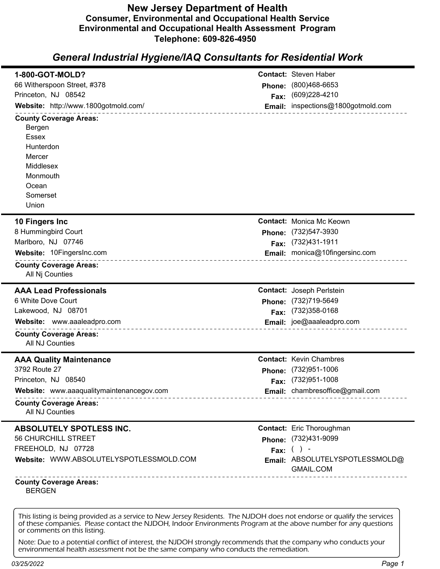## **New Jersey Department of Health Consumer, Environmental and Occupational Health Service Environmental and Occupational Health Assessment Program Telephone: 609-826-4950**

## *General Industrial Hygiene/IAQ Consultants for Residential Work*

| 1-800-GOT-MOLD?                                                |        | <b>Contact: Steven Haber</b>       |
|----------------------------------------------------------------|--------|------------------------------------|
| 66 Witherspoon Street, #378                                    |        | (800)468-6653                      |
| Princeton, NJ 08542                                            | Phone: | (609)228-4210                      |
| Website: http://www.1800gotmold.com/                           | Fax:   | Email: inspections@1800gotmold.com |
| _ _ _ _ _ _ _ _ _ _ _ _ _                                      |        |                                    |
| <b>County Coverage Areas:</b><br>Bergen                        |        |                                    |
| <b>Essex</b>                                                   |        |                                    |
| Hunterdon                                                      |        |                                    |
| Mercer                                                         |        |                                    |
| Middlesex                                                      |        |                                    |
| Monmouth                                                       |        |                                    |
| Ocean                                                          |        |                                    |
| Somerset                                                       |        |                                    |
| Union                                                          |        |                                    |
| 10 Fingers Inc                                                 |        | <b>Contact: Monica Mc Keown</b>    |
| 8 Hummingbird Court                                            |        | Phone: (732)547-3930               |
| Marlboro, NJ 07746                                             |        | Fax: (732)431-1911                 |
| Website: 10FingersInc.com                                      |        | Email: monica@10fingersinc.com     |
| _____________________<br><b>County Coverage Areas:</b>         |        |                                    |
| All Nj Counties                                                |        |                                    |
| <b>AAA Lead Professionals</b>                                  |        | <b>Contact: Joseph Peristein</b>   |
| 6 White Dove Court                                             |        | Phone: (732)719-5649               |
| Lakewood, NJ 08701                                             |        | Fax: (732)358-0168                 |
| Website: www.aaaleadpro.com                                    |        | Email: joe@aaaleadpro.com          |
| <b>County Coverage Areas:</b>                                  |        |                                    |
| All NJ Counties                                                |        |                                    |
| <b>AAA Quality Maintenance</b>                                 |        | <b>Contact: Kevin Chambres</b>     |
| 3792 Route 27                                                  | Phone: | (732)951-1006                      |
| Princeton, NJ 08540                                            |        | Fax: (732)951-1008                 |
| Website: www.aaaqualitymaintenancegov.com<br>_________________ |        | Email: chambresoffice@gmail.com    |
| <b>County Coverage Areas:</b><br>All NJ Counties               |        |                                    |
| ABSOLUTELY SPOTLESS INC.                                       |        | <b>Contact:</b> Eric Thoroughman   |
| 56 CHURCHILL STREET                                            |        | Phone: (732)431-9099               |
| FREEHOLD, NJ 07728                                             |        | Fax: $( )$ -                       |
| Website: WWW.ABSOLUTELYSPOTLESSMOLD.COM                        |        | Email: ABSOLUTELYSPOTLESSMOLD@     |
|                                                                |        | GMAIL.COM                          |
| <b>County Coverage Areas:</b><br><b>BERGEN</b>                 |        |                                    |
|                                                                |        |                                    |

This listing is being provided as a service to New Jersey Residents. The NJDOH does not endorse or qualify the services of these companies. Please contact the NJDOH, Indoor Environments Program at the above number for any questions or comments on this listing.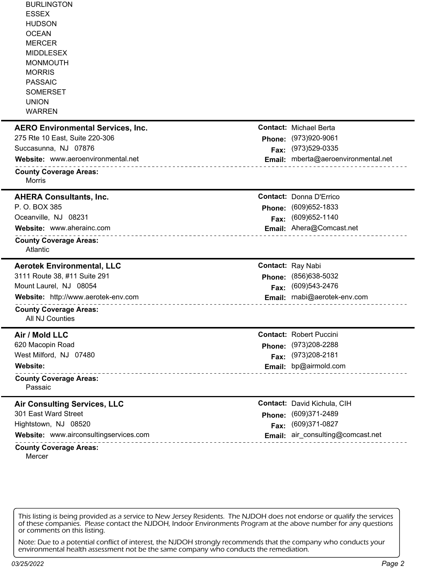| Mercer                                                                                                                                                                                       |                                            |
|----------------------------------------------------------------------------------------------------------------------------------------------------------------------------------------------|--------------------------------------------|
| Website: www.airconsultingservices.com<br>_____________________<br><b>County Coverage Areas:</b>                                                                                             | Email: air_consulting@comcast.net          |
| Hightstown, NJ 08520<br>Fax:                                                                                                                                                                 | (609)371-0827                              |
| 301 East Ward Street                                                                                                                                                                         | Phone: (609)371-2489                       |
| <b>Air Consulting Services, LLC</b>                                                                                                                                                          | Contact: David Kichula, CIH                |
| <b>County Coverage Areas:</b><br>Passaic                                                                                                                                                     |                                            |
| _______________________________                                                                                                                                                              |                                            |
| Website:                                                                                                                                                                                     | Email: bp@airmold.com                      |
| 620 Macopin Road<br>West Milford, NJ 07480                                                                                                                                                   | Phone: (973)208-2288<br>Fax: (973)208-2181 |
| Air / Mold LLC                                                                                                                                                                               | <b>Contact: Robert Puccini</b>             |
| <b>County Coverage Areas:</b><br><b>All NJ Counties</b>                                                                                                                                      |                                            |
| Website: http://www.aerotek-env.com                                                                                                                                                          | Email: rnabi@aerotek-env.com               |
| Mount Laurel, NJ 08054<br>Fax:                                                                                                                                                               | (609) 543-2476                             |
| 3111 Route 38, #11 Suite 291<br>Phone:                                                                                                                                                       | (856) 638-5032                             |
| <b>Aerotek Environmental, LLC</b>                                                                                                                                                            | <b>Contact: Ray Nabi</b>                   |
| <b>County Coverage Areas:</b><br>Atlantic                                                                                                                                                    |                                            |
| Website: www.aherainc.com                                                                                                                                                                    | Email: Ahera@Comcast.net                   |
| Oceanville, NJ 08231<br>Fax:                                                                                                                                                                 | (609) 652-1140                             |
| P. O. BOX 385<br>Phone:                                                                                                                                                                      | (609)652-1833                              |
| <b>AHERA Consultants, Inc.</b>                                                                                                                                                               | <b>Contact: Donna D'Errico</b>             |
| <b>County Coverage Areas:</b><br><b>Morris</b>                                                                                                                                               |                                            |
| Website: www.aeroenvironmental.net                                                                                                                                                           | Email: mberta@aeroenvironmental.net        |
| Succasunna, NJ 07876<br>Fax:                                                                                                                                                                 | (973)529-0335                              |
| 275 Rte 10 East, Suite 220-306<br>Phone:                                                                                                                                                     | (973)920-9061                              |
| <b>AERO Environmental Services, Inc.</b>                                                                                                                                                     | <b>Contact: Michael Berta</b>              |
| <b>ESSEX</b><br><b>HUDSON</b><br><b>OCEAN</b><br><b>MERCER</b><br><b>MIDDLESEX</b><br><b>MONMOUTH</b><br><b>MORRIS</b><br><b>PASSAIC</b><br><b>SOMERSET</b><br><b>UNION</b><br><b>WARREN</b> |                                            |
| <b>BURLINGTON</b>                                                                                                                                                                            |                                            |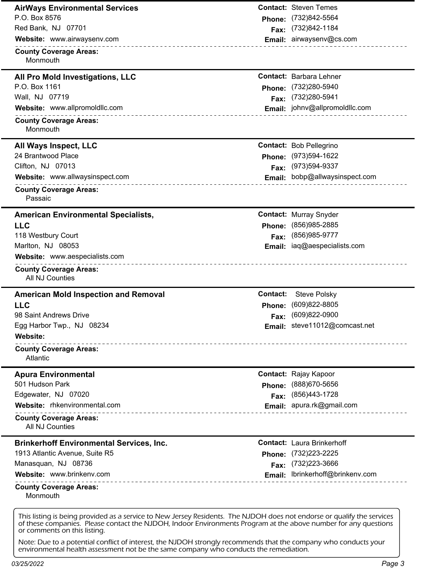| <b>AirWays Environmental Services</b>                     |          | <b>Contact: Steven Temes</b>      |
|-----------------------------------------------------------|----------|-----------------------------------|
| P.O. Box 8576                                             | Phone:   | (732)842-5564                     |
| Red Bank, NJ 07701                                        | Fax:     | (732)842-1184                     |
| Website: www.airwaysenv.com                               |          | Email: airwaysenv@cs.com          |
| ________________________<br><b>County Coverage Areas:</b> |          |                                   |
| Monmouth                                                  |          |                                   |
| All Pro Mold Investigations, LLC                          |          | <b>Contact: Barbara Lehner</b>    |
| P.O. Box 1161                                             | Phone:   | (732)280-5940                     |
| Wall, NJ 07719                                            | Fax:     | (732) 280-5941                    |
| Website: www.allpromoldllc.com                            |          | Email: johnv@allpromoldllc.com    |
| <b>County Coverage Areas:</b><br>Monmouth                 |          |                                   |
| All Ways Inspect, LLC                                     |          | <b>Contact: Bob Pellegrino</b>    |
| 24 Brantwood Place                                        |          | Phone: (973)594-1622              |
| Clifton, NJ 07013                                         | Fax:     | (973) 594-9337                    |
| Website: www.allwaysinspect.com                           |          | Email: bobp@allwaysinspect.com    |
| <b>County Coverage Areas:</b><br>Passaic                  |          |                                   |
| <b>American Environmental Specialists,</b>                |          | <b>Contact: Murray Snyder</b>     |
| <b>LLC</b>                                                |          | Phone: (856)985-2885              |
| 118 Westbury Court                                        | Fax:     | (856) 985-9777                    |
| Marlton, NJ 08053                                         |          | Email: iaq@aespecialists.com      |
| Website: www.aespecialists.com                            |          |                                   |
| <b>County Coverage Areas:</b><br>All NJ Counties          |          |                                   |
| <b>American Mold Inspection and Removal</b>               | Contact: | <b>Steve Polsky</b>               |
| <b>LLC</b>                                                | Phone:   | (609)822-8805                     |
|                                                           | Fax:     | (609)822-0900                     |
| 98 Saint Andrews Drive                                    |          |                                   |
| Egg Harbor Twp., NJ 08234                                 |          | Email: steve11012@comcast.net     |
| Website:                                                  |          |                                   |
| <b>County Coverage Areas:</b><br>Atlantic                 |          |                                   |
| <b>Apura Environmental</b>                                |          | <b>Contact: Rajay Kapoor</b>      |
| 501 Hudson Park                                           | Phone:   | (888) 670-5656                    |
| Edgewater, NJ 07020                                       | Fax:     | (856) 443-1728                    |
| Website: rhkenvironmental.com                             |          | Email: apura.rk@gmail.com         |
| .<br><b>County Coverage Areas:</b><br>All NJ Counties     |          |                                   |
| <b>Brinkerhoff Environmental Services, Inc.</b>           |          | <b>Contact: Laura Brinkerhoff</b> |
| 1913 Atlantic Avenue, Suite R5                            | Phone:   | (732) 223-2225                    |
| Manasquan, NJ 08736                                       | Fax:     | (732) 223-3666                    |
| Website: www.brinkenv.com                                 |          | Email: lbrinkerhoff@brinkenv.com  |
| <b>County Coverage Areas:</b><br>Monmouth                 |          |                                   |

of these companies. Please contact the NJDOH, Indoor Environments Program at the above number for any questions or comments on this listing.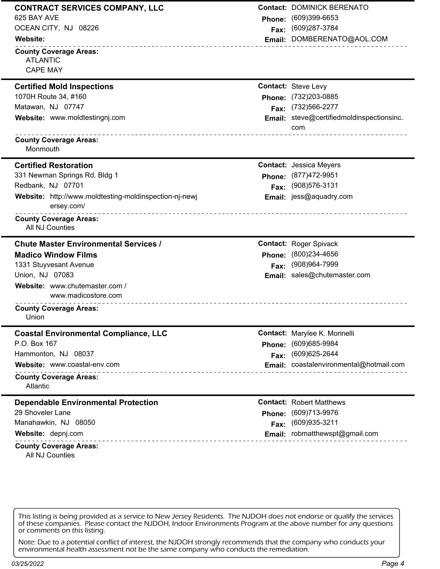| 625 BAY AVE<br>$(609)399-6653$<br><b>Phone:</b><br>OCEAN CITY, NJ 08226<br>Fax: (609)287-3784 | <b>Contact: DOMINICK BERENATO</b>         |
|-----------------------------------------------------------------------------------------------|-------------------------------------------|
|                                                                                               |                                           |
|                                                                                               |                                           |
| <b>Website:</b><br>-----------------------------------                                        | Email: DOMBERENATO@AOL.COM                |
| <b>County Coverage Areas:</b>                                                                 |                                           |
| <b>ATLANTIC</b>                                                                               |                                           |
| <b>CAPE MAY</b>                                                                               |                                           |
| <b>Contact: Steve Levy</b><br><b>Certified Mold Inspections</b>                               |                                           |
| 1070H Route 34, #160<br>Phone: (732)203-0885                                                  |                                           |
| Matawan, NJ 07747<br>Fax: (732)566-2277                                                       |                                           |
| Website: www.moldtestingnj.com                                                                | Email: steve@certifiedmoldinspectionsinc. |
| com                                                                                           |                                           |
| <b>County Coverage Areas:</b>                                                                 |                                           |
| Monmouth                                                                                      |                                           |
| <b>Certified Restoration</b><br><b>Contact: Jessica Meyers</b>                                |                                           |
| 331 Newman Springs Rd. Bldg 1<br>Phone: (877)472-9951                                         |                                           |
| Redbank, NJ 07701<br>(908) 576-3131<br>Fax:                                                   |                                           |
| Website: http://www.moldtesting-moldinspection-nj-newj<br>Email: jess@aquadry.com             |                                           |
| ersey.com/                                                                                    |                                           |
| __________________________________<br><b>County Coverage Areas:</b>                           |                                           |
| All NJ Counties                                                                               |                                           |
|                                                                                               |                                           |
| <b>Chute Master Environmental Services /</b><br><b>Contact: Roger Spivack</b>                 |                                           |
| (800)234-4656<br><b>Madico Window Films</b><br>Phone:                                         |                                           |
| (908)964-7999<br>1331 Stuyvesant Avenue<br>Fax:                                               |                                           |
| Union, NJ 07083<br>Email: sales@chutemaster.com                                               |                                           |
| Website: www.chutemaster.com /                                                                |                                           |
| www.madicostore.com                                                                           |                                           |
| <b>County Coverage Areas:</b>                                                                 |                                           |
| Union                                                                                         |                                           |
| <b>Coastal Environmental Compliance, LLC</b><br>Contact: Marylee K. Morinelli                 |                                           |
| P.O. Box 167<br>(609)685-9984<br>Phone:                                                       |                                           |
| (609) 625-2644<br>Hammonton, NJ 08037<br>Fax:                                                 |                                           |
| Website: www.coastal-env.com                                                                  | Email: coastalenvironmental@hotmail.com   |
| <u>.</u><br><b>County Coverage Areas:</b>                                                     |                                           |
| Atlantic                                                                                      |                                           |
| <b>Dependable Environmental Protection</b><br><b>Contact: Robert Matthews</b>                 |                                           |
| 29 Shoveler Lane<br>Phone: (609)713-9976                                                      |                                           |
| Manahawkin, NJ 08050<br>(609) 935-3211<br>Fax:                                                |                                           |
| Email: robmatthewspt@gmail.com<br>Website: depnj.com                                          |                                           |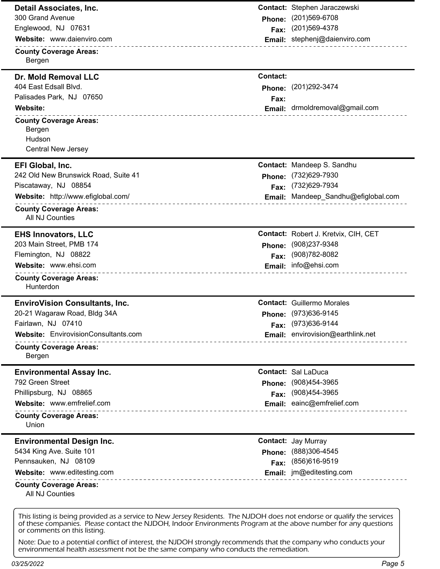| Detail Associates, Inc.<br>300 Grand Avenue<br>Englewood, NJ 07631<br>Website: www.daienviro.com<br><b>County Coverage Areas:</b><br>Bergen                                                               | <b>Phone:</b><br>Fax:             | Contact: Stephen Jaraczewski<br>(201) 569-6708<br>(201) 569-4378<br>Email: stephenj@daienviro.com                    |
|-----------------------------------------------------------------------------------------------------------------------------------------------------------------------------------------------------------|-----------------------------------|----------------------------------------------------------------------------------------------------------------------|
| <b>Dr. Mold Removal LLC</b><br>404 East Edsall Blvd.<br>Palisades Park, NJ 07650<br><b>Website:</b><br><b>County Coverage Areas:</b><br>Bergen<br>Hudson<br><b>Central New Jersey</b>                     | <b>Contact:</b><br>Phone:<br>Fax: | (201) 292-3474<br>Email: drmoldremoval@gmail.com                                                                     |
| EFI Global, Inc.<br>242 Old New Brunswick Road, Suite 41<br>Piscataway, NJ 08854<br>Website: http://www.efiglobal.com/<br><b>County Coverage Areas:</b><br><b>All NJ Counties</b>                         | Phone:<br>Fax:                    | Contact: Mandeep S. Sandhu<br>(732) 629-7930<br>(732) 629-7934<br>Email: Mandeep_Sandhu@efiglobal.com                |
| <b>EHS Innovators, LLC</b><br>203 Main Street, PMB 174<br>Flemington, NJ 08822<br>Website: www.ehsi.com<br><b>County Coverage Areas:</b><br>Hunterdon                                                     | Phone:<br>Fax:                    | Contact: Robert J. Kretvix, CIH, CET<br>(908) 237-9348<br>(908) 782-8082<br>Email: info@ehsi.com                     |
| <b>EnviroVision Consultants, Inc.</b><br>20-21 Wagaraw Road, Bldg 34A<br>Fairlawn, NJ 07410<br>Website: EnvirovisionConsultants.com<br>______________________<br><b>County Coverage Areas:</b><br>Bergen  |                                   | <b>Contact: Guillermo Morales</b><br>Phone: (973)636-9145<br>Fax: (973)636-9144<br>Email: envirovision@earthlink.net |
| <b>Environmental Assay Inc.</b><br>792 Green Street<br>Phillipsburg, NJ 08865<br>Website: www.emfrelief.com<br>_______________________________<br><b>County Coverage Areas:</b><br>Union                  | Phone:<br>Fax:                    | <b>Contact: Sal LaDuca</b><br>(908)454-3965<br>(908)454-3965<br>Email: eainc@emfrelief.com                           |
| <b>Environmental Design Inc.</b><br>5434 King Ave. Suite 101<br>Pennsauken, NJ 08109<br>Website: www.editesting.com<br>______________________________<br><b>County Coverage Areas:</b><br>All NJ Counties | Phone:<br>Fax:                    | <b>Contact: Jay Murray</b><br>(888)306-4545<br>(856)616-9519<br><b>Email:</b> jm@editesting.com                      |

of these companies. Please contact the NJDOH, Indoor Environments Program at the above number for any questions or comments on this listing.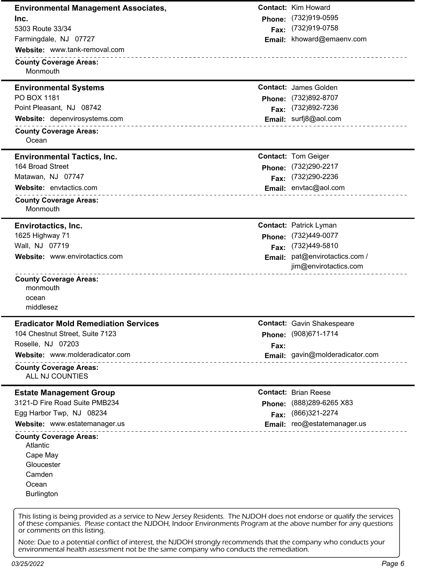**Environmental Management Associates, Inc.** 5303 Route 33/34 Farmingdale, NJ 07727 **County Coverage Areas: Contact:** Kim Howard **Phone:** (732)919-0595 **Fax:** (732)919-0758 **Email:** khoward@emaenv.com **Website:** www.tank-removal.com Monmouth **Environmental Systems** PO BOX 1181 Point Pleasant, NJ 08742 **County Coverage Areas: Contact:** James Golden **Phone:** (732)892-8707 **Fax:** (732)892-7236 **Website:** depenvirosystems.com **Email:** surfj8@aol.com **Email:** surfj8@aol.com Ocean **Environmental Tactics, Inc.** 164 Broad Street Matawan, NJ 07747 **County Coverage Areas: Contact:** Tom Geiger **Phone:** (732)290-2217 **Fax:** (732)290-2236 **Website:** envtactics.com **Email:** envtac@aol.com Monmouth **Envirotactics, Inc.** 1625 Highway 71 Wall, NJ 07719 **County Coverage Areas: Contact:** Patrick Lyman **Phone:** (732)449-0077 **Fax:** (732)449-5810 **Email:** pat@envirotactics.com / jim@envirotactics.com **Website:** www.envirotactics.com monmouth ocean middlesez **Eradicator Mold Remediation Services** 104 Chestnut Street, Suite 7123 Roselle, NJ 07203 **County Coverage Areas: Contact:** Gavin Shakespeare **Phone:** (908)671-1714 **Fax: Website:** www.molderadicator.com **Email:** gavin@molderadicator.com ALL NJ COUNTIES **Estate Management Group** 3121-D Fire Road Suite PMB234 Egg Harbor Twp, NJ 08234 **County Coverage Areas: Contact:** Brian Reese **Phone:** (888)289-6265 X83 **Fax:** (866)321-2274 **Website:** www.estatemanager.us **Email:** reo@estatemanager.us Atlantic Cape May **Gloucester** Camden **Ocean** Burlington

This listing is being provided as a service to New Jersey Residents. The NJDOH does not endorse or qualify the services of these companies. Please contact the NJDOH, Indoor Environments Program at the above number for any questions or comments on this listing.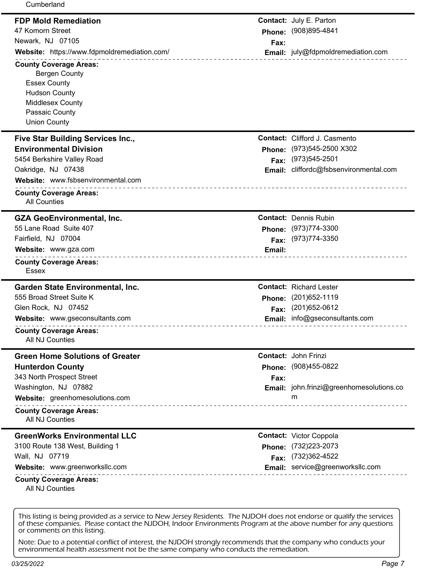| Cumberland                                                      |        |                                          |
|-----------------------------------------------------------------|--------|------------------------------------------|
| <b>FDP Mold Remediation</b>                                     |        | <b>Contact: July E. Parton</b>           |
| 47 Komorn Street                                                |        | Phone: (908)895-4841                     |
| Newark, NJ 07105                                                | Fax:   |                                          |
| Website: https://www.fdpmoldremediation.com/                    |        | Email: july@fdpmoldremediation.com       |
| <b>County Coverage Areas:</b>                                   |        |                                          |
| <b>Bergen County</b>                                            |        |                                          |
| <b>Essex County</b>                                             |        |                                          |
| <b>Hudson County</b>                                            |        |                                          |
| <b>Middlesex County</b>                                         |        |                                          |
| Passaic County                                                  |        |                                          |
| <b>Union County</b>                                             |        |                                          |
| Five Star Building Services Inc.,                               |        | <b>Contact:</b> Clifford J. Casmento     |
| <b>Environmental Division</b>                                   | Phone: | (973) 545-2500 X302                      |
| 5454 Berkshire Valley Road                                      | Fax:   | (973) 545-2501                           |
| Oakridge, NJ 07438                                              | Email: | cliffordc@fsbsenvironmental.com          |
| Website: www.fsbsenvironmental.com                              |        |                                          |
| <b>County Coverage Areas:</b>                                   |        |                                          |
| <b>All Counties</b>                                             |        |                                          |
| <b>GZA GeoEnvironmental, Inc.</b>                               |        | <b>Contact: Dennis Rubin</b>             |
| 55 Lane Road Suite 407                                          |        | Phone: (973)774-3300                     |
| Fairfield, NJ 07004                                             | Fax:   | (973) 774-3350                           |
| Website: www.gza.com                                            | Email: |                                          |
| ______________________________<br><b>County Coverage Areas:</b> |        |                                          |
| <b>Essex</b>                                                    |        |                                          |
| <b>Garden State Environmental, Inc.</b>                         |        | <b>Contact: Richard Lester</b>           |
| 555 Broad Street Suite K                                        | Phone: | (201) 652-1119                           |
| Glen Rock, NJ 07452                                             | Fax:   | (201) 652-0612                           |
| Website: www.gseconsultants.com                                 | Email: | info@gseconsultants.com                  |
| <b>County Coverage Areas:</b>                                   |        |                                          |
| All NJ Counties                                                 |        |                                          |
| <b>Green Home Solutions of Greater</b>                          |        | <b>Contact: John Frinzi</b>              |
| <b>Hunterdon County</b>                                         | Phone: | (908)455-0822                            |
| 343 North Prospect Street                                       | Fax:   |                                          |
| Washington, NJ 07882                                            |        | Email: john.frinzi@greenhomesolutions.co |
| Website: greenhomesolutions.com                                 |        | m                                        |
| <b>County Coverage Areas:</b>                                   |        |                                          |
| All NJ Counties                                                 |        |                                          |
| <b>GreenWorks Environmental LLC</b>                             |        | <b>Contact: Victor Coppola</b>           |
| 3100 Route 138 West, Building 1                                 |        | Phone: (732)223-2073                     |
| Wall, NJ 07719                                                  | Fax:   | (732)362-4522                            |
| Website: www.greenworksllc.com                                  |        | Email: service@greenworksllc.com         |
| ______________________<br><b>County Coverage Areas:</b>         |        |                                          |
| All NJ Counties                                                 |        |                                          |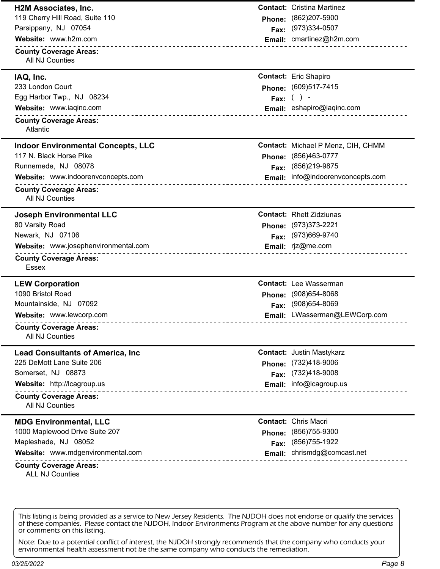| <b>H2M Associates, Inc.</b>                             |        | <b>Contact:</b> Cristina Martinez  |
|---------------------------------------------------------|--------|------------------------------------|
| 119 Cherry Hill Road, Suite 110                         | Phone: | (862) 207-5900                     |
| Parsippany, NJ 07054                                    | Fax:   | (973)334-0507                      |
| Website: www.h2m.com                                    |        | Email: cmartinez@h2m.com           |
| <b>County Coverage Areas:</b><br><b>All NJ Counties</b> |        |                                    |
| IAQ, Inc.                                               |        | <b>Contact:</b> Eric Shapiro       |
| 233 London Court                                        | Phone: | (609)517-7415                      |
| Egg Harbor Twp., NJ 08234                               |        | Fax: $( ) -$                       |
| Website: www.iaqinc.com<br>___________________________  |        | Email: eshapiro@iaqinc.com         |
| <b>County Coverage Areas:</b><br>Atlantic               |        |                                    |
| <b>Indoor Environmental Concepts, LLC</b>               |        | Contact: Michael P Menz, CIH, CHMM |
| 117 N. Black Horse Pike                                 | Phone: | (856)463-0777                      |
| Runnemede, NJ 08078                                     | Fax:   | (856) 219-9875                     |
| Website: www.indoorenvconcepts.com                      |        | Email: info@indoorenvconcepts.com  |
| <b>County Coverage Areas:</b><br><b>All NJ Counties</b> |        |                                    |
| <b>Joseph Environmental LLC</b>                         |        | <b>Contact: Rhett Zidziunas</b>    |
| 80 Varsity Road                                         | Phone: | (973) 373-2221                     |
| Newark, NJ 07106                                        | Fax:   | (973)669-9740                      |
| Website: www.josephenvironmental.com                    |        | Email: rjz@me.com                  |
| <b>County Coverage Areas:</b><br>Essex                  |        |                                    |
| <b>LEW Corporation</b>                                  |        | <b>Contact:</b> Lee Wasserman      |
| 1090 Bristol Road                                       | Phone: | $(908)654 - 8068$                  |
| Mountainside, NJ 07092                                  | Fax:   | (908) 654-8069                     |
| Website: www.lewcorp.com                                |        | Email: LWasserman@LEWCorp.com      |
| <b>County Coverage Areas:</b><br>All NJ Counties        |        |                                    |
| <b>Lead Consultants of America, Inc.</b>                |        | <b>Contact: Justin Mastykarz</b>   |
| 225 DeMott Lane Suite 206                               | Phone: | (732)418-9006                      |
| Somerset, NJ 08873                                      | Fax:   | (732)418-9008                      |
| Website: http://lcagroup.us                             |        | Email: info@lcagroup.us            |
| <b>County Coverage Areas:</b><br>All NJ Counties        |        |                                    |
| <b>MDG Environmental, LLC</b>                           |        | <b>Contact: Chris Macri</b>        |
| 1000 Maplewood Drive Suite 207                          | Phone: | (856) 755-9300                     |
| Mapleshade, NJ 08052                                    | Fax:   | (856) 755-1922                     |
| Website: www.mdgenvironmental.com                       | Email: | chrismdg@comcast.net               |
| <b>County Coverage Areas:</b><br><b>ALL NJ Counties</b> |        |                                    |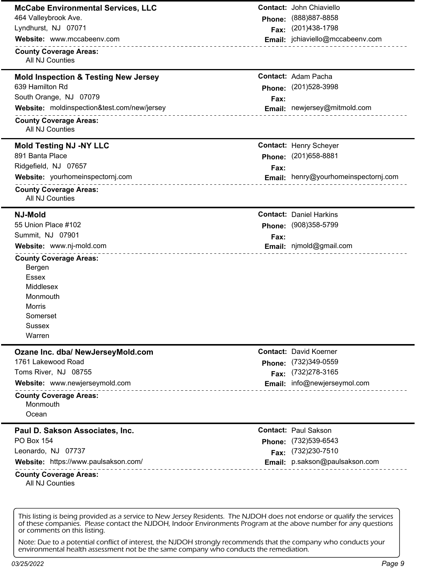| <b>McCabe Environmental Services, LLC</b>                  |        | <b>Contact: John Chiaviello</b>      |
|------------------------------------------------------------|--------|--------------------------------------|
| 464 Valleybrook Ave.                                       | Phone: | (888) 887-8858                       |
| Lyndhurst, NJ 07071                                        | Fax:   | (201) 438-1798                       |
| Website: www.mccabeenv.com                                 |        | Email: jchiaviello@mccabeenv.com     |
| <b>County Coverage Areas:</b><br><b>All NJ Counties</b>    |        |                                      |
| <b>Mold Inspection &amp; Testing New Jersey</b>            |        | <b>Contact: Adam Pacha</b>           |
| 639 Hamilton Rd                                            |        | Phone: (201)528-3998                 |
| South Orange, NJ 07079                                     | Fax:   |                                      |
| Website: moldinspection&test.com/new/jersey                |        | Email: newjersey@mitmold.com         |
| <b>County Coverage Areas:</b>                              |        |                                      |
| <b>All NJ Counties</b>                                     |        |                                      |
| <b>Mold Testing NJ -NY LLC</b>                             |        | <b>Contact: Henry Scheyer</b>        |
| 891 Banta Place                                            | Phone: | (201) 658-8881                       |
| Ridgefield, NJ 07657                                       | Fax:   |                                      |
| Website: yourhomeinspectornj.com                           |        | Email: henry@yourhomeinspectornj.com |
| <b>County Coverage Areas:</b><br>All NJ Counties           |        |                                      |
| <b>NJ-Mold</b>                                             |        | <b>Contact: Daniel Harkins</b>       |
| 55 Union Place #102                                        | Phone: | $(908)358 - 5799$                    |
| Summit, NJ 07901                                           | Fax:   |                                      |
| Website: www.nj-mold.com<br><u>.</u>                       |        | Email: njmold@gmail.com              |
| <b>County Coverage Areas:</b>                              |        |                                      |
| Bergen                                                     |        |                                      |
| Essex                                                      |        |                                      |
| Middlesex                                                  |        |                                      |
| Monmouth<br>Morris                                         |        |                                      |
| Somerset                                                   |        |                                      |
| <b>Sussex</b>                                              |        |                                      |
| Warren                                                     |        |                                      |
| Ozane Inc. dba/ NewJerseyMold.com                          |        | <b>Contact: David Koerner</b>        |
| 1761 Lakewood Road                                         |        | Phone: (732)349-0559                 |
| Toms River, NJ 08755                                       |        | Fax: (732)278-3165                   |
| Website: www.newjerseymold.com                             |        | Email: info@newjerseymol.com         |
| _________________________<br><b>County Coverage Areas:</b> |        |                                      |
| Monmouth                                                   |        |                                      |
| Ocean                                                      |        |                                      |
| Paul D. Sakson Associates, Inc.                            |        | <b>Contact: Paul Sakson</b>          |
| <b>PO Box 154</b>                                          |        | Phone: (732)539-6543                 |
| Leonardo, NJ 07737                                         | Fax:   | (732) 230-7510                       |
| Website: https://www.paulsakson.com/<br>.                  |        | Email: p.sakson@paulsakson.com       |
| <b>County Coverage Areas:</b><br>All NJ Counties           |        |                                      |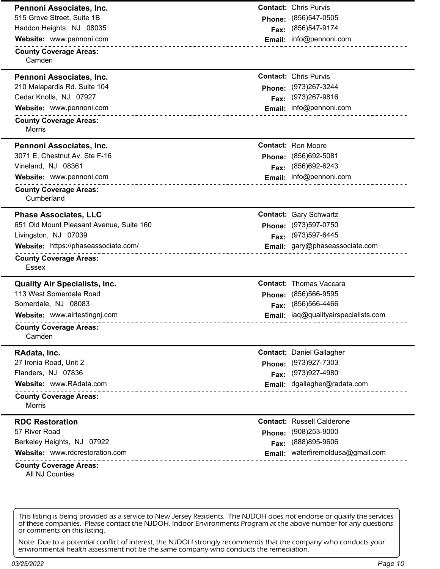| <b>Contact: Chris Purvis</b><br>Pennoni Associates, Inc.      |                                      |
|---------------------------------------------------------------|--------------------------------------|
| 515 Grove Street, Suite 1B<br><b>Phone:</b>                   | (856) 547-0505                       |
| Haddon Heights, NJ 08035<br>Fax:                              | (856) 547-9174                       |
| Website: www.pennoni.com                                      | Email: info@pennoni.com              |
| <b>County Coverage Areas:</b><br>Camden                       |                                      |
| <b>Contact: Chris Purvis</b><br>Pennoni Associates, Inc.      |                                      |
| 210 Malapardis Rd. Suite 104<br>Phone:                        | (973) 267-3244                       |
| Cedar Knolls, NJ 07927<br>Fax:                                | (973) 267-9816                       |
| Website: www.pennoni.com                                      | Email: info@pennoni.com              |
| <b>County Coverage Areas:</b><br><b>Morris</b>                |                                      |
| <b>Contact: Ron Moore</b><br>Pennoni Associates, Inc.         |                                      |
| 3071 E. Chestnut Av. Ste F-16<br>Phone:                       | (856) 692-5081                       |
| Vineland, NJ 08361<br>Fax:                                    | (856) 692-6243                       |
| Website: www.pennoni.com<br><u>.</u>                          | Email: info@pennoni.com              |
| <b>County Coverage Areas:</b><br>Cumberland                   |                                      |
| <b>Phase Associates, LLC</b><br><b>Contact: Gary Schwartz</b> |                                      |
| 651 Old Mount Pleasant Avenue, Suite 160<br>Phone:            | (973) 597-0750                       |
| Livingston, NJ 07039<br>Fax:                                  | (973) 597-6445                       |
| Website: https://phaseassociate.com/                          | Email: gary@phaseassociate.com       |
| <b>County Coverage Areas:</b><br><b>Essex</b>                 |                                      |
| <b>Quality Air Specialists, Inc.</b>                          | <b>Contact: Thomas Vaccara</b>       |
| 113 West Somerdale Road<br>Phone:                             | (856) 566-9595                       |
| Somerdale, NJ 08083<br>Fax:                                   | (856) 566-4466                       |
| Website: www.airtestingnj.com                                 | Email: iaq@qualityairspecialists.com |
| <b>County Coverage Areas:</b><br>Camden                       |                                      |
| RAdata, Inc.                                                  | <b>Contact: Daniel Gallagher</b>     |
| 27 Ironia Road, Unit 2<br>Phone:                              | (973) 927-7303                       |
| Flanders, NJ 07836<br>Fax:                                    | (973) 927-4980                       |
| Website: www.RAdata.com                                       | Email: dgallagher@radata.com         |
| <b>County Coverage Areas:</b><br><b>Morris</b>                |                                      |
| <b>RDC Restoration</b>                                        | <b>Contact: Russell Calderone</b>    |
| 57 River Road<br><b>Phone:</b>                                | $(908)253 - 9000$                    |
| Berkeley Heights, NJ 07922<br>Fax:                            | (888) 895-9606                       |
| Website: www.rdcrestoration.com<br>.                          | Email: waterfiremoldusa@gmail.com    |
| <b>County Coverage Areas:</b><br>All NJ Counties              |                                      |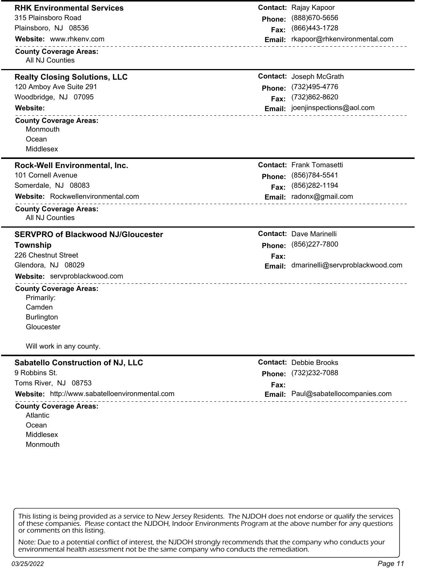| <b>RHK Environmental Services</b>                                                        |        | <b>Contact: Rajay Kapoor</b>               |
|------------------------------------------------------------------------------------------|--------|--------------------------------------------|
| 315 Plainsboro Road                                                                      | Phone: | (888) 670-5656                             |
| Plainsboro, NJ 08536                                                                     | Fax:   | (866)443-1728                              |
| Website: www.rhkenv.com                                                                  |        | Email: rkapoor@rhkenvironmental.com        |
| <b>County Coverage Areas:</b><br>All NJ Counties                                         |        |                                            |
| <b>Realty Closing Solutions, LLC</b>                                                     |        | <b>Contact: Joseph McGrath</b>             |
| 120 Amboy Ave Suite 291                                                                  | Phone: | (732)495-4776                              |
| Woodbridge, NJ 07095                                                                     |        | Fax: (732)862-8620                         |
| Website:<br>____________________________________                                         |        | Email: joenjinspections@aol.com            |
| <b>County Coverage Areas:</b><br>Monmouth<br>Ocean<br>Middlesex                          |        |                                            |
|                                                                                          |        |                                            |
| Rock-Well Environmental, Inc.<br>101 Cornell Avenue                                      |        | <b>Contact: Frank Tomasetti</b>            |
| Somerdale, NJ 08083                                                                      |        | Phone: (856)784-5541<br>Fax: (856)282-1194 |
| Website: Rockwellenvironmental.com                                                       |        | Email: radonx@gmail.com                    |
| <b>County Coverage Areas:</b><br>All NJ Counties                                         |        |                                            |
| <b>SERVPRO of Blackwood NJ/Gloucester</b>                                                |        | <b>Contact: Dave Marinelli</b>             |
| Township                                                                                 |        | Phone: (856)227-7800                       |
| 226 Chestnut Street                                                                      | Fax:   |                                            |
| Glendora, NJ 08029                                                                       |        | Email: dmarinelli@servproblackwood.com     |
| Website: servproblackwood.com                                                            |        |                                            |
| <b>County Coverage Areas:</b><br>Primarily:<br>Camden<br><b>Burlington</b><br>Gloucester |        |                                            |
| Will work in any county.                                                                 |        |                                            |
| <b>Sabatello Construction of NJ, LLC</b>                                                 |        | <b>Contact: Debbie Brooks</b>              |
| 9 Robbins St.                                                                            | Phone: | (732)232-7088                              |
| Toms River, NJ 08753                                                                     | Fax:   |                                            |
| Website: http://www.sabatelloenvironmental.com                                           |        | Email: Paul@sabatellocompanies.com         |
| <b>County Coverage Areas:</b><br>Atlantic<br>Ocean<br>Middlesex                          |        |                                            |

Note: Due to a potential conflict of interest, the NJDOH strongly recommends that the company who conducts your environmental health assessment not be the same company who conducts the remediation.

*03/25/2022 Page 11*

Monmouth

 $\overline{a}$ 

 $-$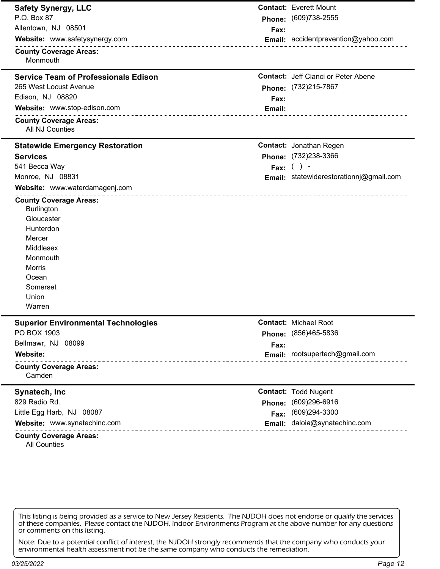| <b>Safety Synergy, LLC</b>                                                                                                                                         |        | <b>Contact: Everett Mount</b>              |
|--------------------------------------------------------------------------------------------------------------------------------------------------------------------|--------|--------------------------------------------|
| P.O. Box 87                                                                                                                                                        |        | Phone: (609)738-2555                       |
| Allentown, NJ 08501                                                                                                                                                | Fax:   |                                            |
| Website: www.safetysynergy.com<br><u> - - - - - - - - - - - - - - -</u>                                                                                            |        | Email: accidentprevention@yahoo.com        |
| <b>County Coverage Areas:</b><br>Monmouth                                                                                                                          |        |                                            |
| <b>Service Team of Professionals Edison</b>                                                                                                                        |        | <b>Contact: Jeff Cianci or Peter Abene</b> |
| 265 West Locust Avenue                                                                                                                                             |        | Phone: (732)215-7867                       |
| Edison, NJ 08820                                                                                                                                                   | Fax:   |                                            |
| Website: www.stop-edison.com<br>_________________________                                                                                                          | Email: | -----------------                          |
| <b>County Coverage Areas:</b><br>All NJ Counties                                                                                                                   |        |                                            |
| <b>Statewide Emergency Restoration</b>                                                                                                                             |        | <b>Contact: Jonathan Regen</b>             |
| <b>Services</b>                                                                                                                                                    |        | Phone: (732)238-3366                       |
| 541 Becca Way                                                                                                                                                      |        | Fax: $( )$ -                               |
| Monroe, NJ 08831                                                                                                                                                   |        | Email: statewiderestorationnj@gmail.com    |
| Website: www.waterdamagenj.com                                                                                                                                     |        |                                            |
| <b>County Coverage Areas:</b><br><b>Burlington</b><br>Gloucester<br>Hunterdon<br>Mercer<br>Middlesex<br>Monmouth<br>Morris<br>Ocean<br>Somerset<br>Union<br>Warren |        |                                            |
| <b>Superior Environmental Technologies</b>                                                                                                                         |        | <b>Contact:</b> Michael Root               |
| PO BOX 1903                                                                                                                                                        |        | Phone: (856)465-5836                       |
| Bellmawr, NJ 08099                                                                                                                                                 | Fax:   |                                            |
| Website:                                                                                                                                                           |        | Email: rootsupertech@gmail.com             |
| <b>County Coverage Areas:</b><br>Camden                                                                                                                            |        |                                            |
| Synatech, Inc.                                                                                                                                                     |        | <b>Contact: Todd Nugent</b>                |
| 829 Radio Rd.                                                                                                                                                      |        | Phone: (609)296-6916                       |
| Little Egg Harb, NJ 08087                                                                                                                                          | Fax:   | (609)294-3300                              |
| Website: www.synatechinc.com                                                                                                                                       |        | Email: daloia@synatechinc.com              |
| <b>County Coverage Areas:</b><br><b>All Counties</b>                                                                                                               |        |                                            |